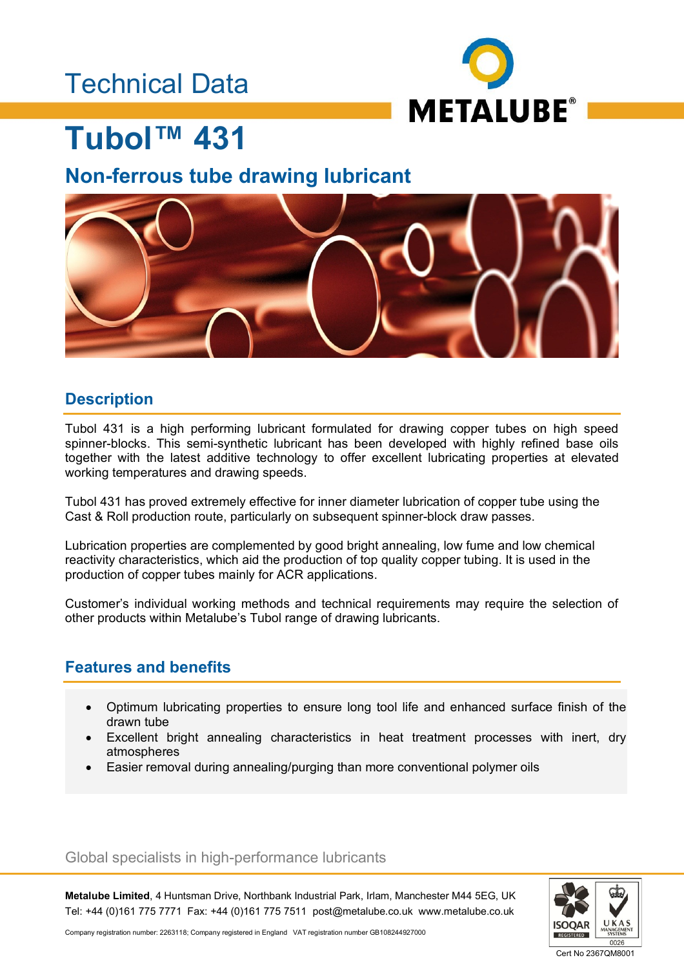## Technical Data



## **Tubol™ 431**

### **Non-ferrous tube drawing lubricant**



### **Description**

Tubol 431 is a high performing lubricant formulated for drawing copper tubes on high speed spinner-blocks. This semi-synthetic lubricant has been developed with highly refined base oils together with the latest additive technology to offer excellent lubricating properties at elevated working temperatures and drawing speeds.

Tubol 431 has proved extremely effective for inner diameter lubrication of copper tube using the Cast & Roll production route, particularly on subsequent spinner-block draw passes.

Lubrication properties are complemented by good bright annealing, low fume and low chemical reactivity characteristics, which aid the production of top quality copper tubing. It is used in the production of copper tubes mainly for ACR applications.

Customer's individual working methods and technical requirements may require the selection of other products within Metalube's Tubol range of drawing lubricants.

### **Features and benefits**

- Optimum lubricating properties to ensure long tool life and enhanced surface finish of the drawn tube
- Excellent bright annealing characteristics in heat treatment processes with inert, dry atmospheres
- Easier removal during annealing/purging than more conventional polymer oils

Global specialists in high-performance lubricants

**Metalube Limited**, 4 Huntsman Drive, Northbank Industrial Park, Irlam, Manchester M44 5EG, UK Tel: +44 (0)161 775 7771 Fax: +44 (0)161 775 7511 post@metalube.co.uk www.metalube.co.uk



Company registration number: 2263118; Company registered in England VAT registration number GB108244927000